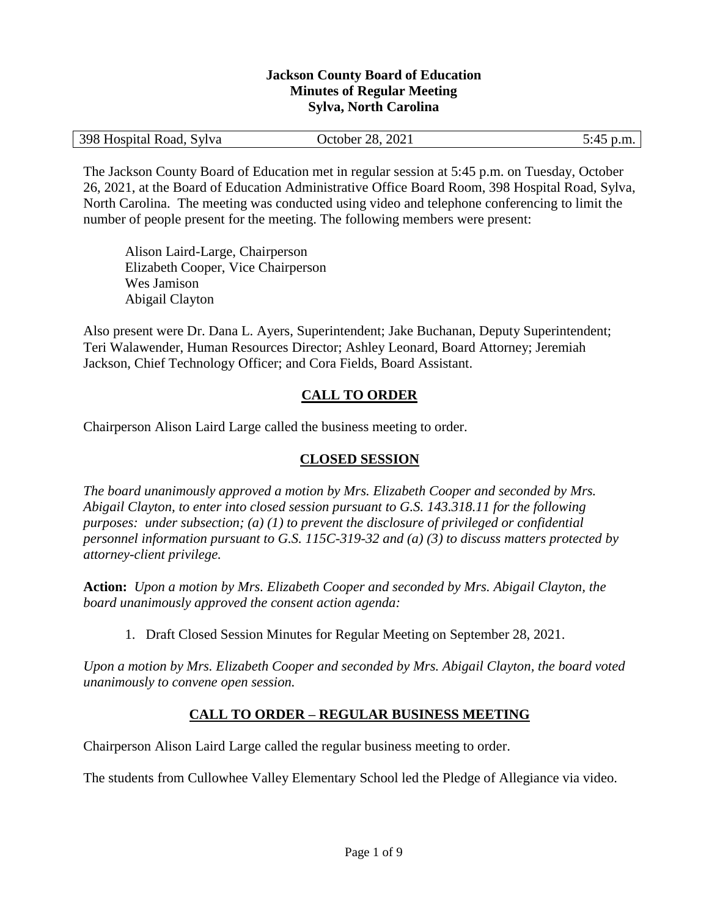#### **Jackson County Board of Education Minutes of Regular Meeting Sylva, North Carolina**

| 398 Hospital Road, Sylva | October 28, 2021 | 5:45 p.m. |
|--------------------------|------------------|-----------|
|                          |                  |           |

The Jackson County Board of Education met in regular session at 5:45 p.m. on Tuesday, October 26, 2021, at the Board of Education Administrative Office Board Room, 398 Hospital Road, Sylva, North Carolina. The meeting was conducted using video and telephone conferencing to limit the number of people present for the meeting. The following members were present:

Alison Laird-Large, Chairperson Elizabeth Cooper, Vice Chairperson Wes Jamison Abigail Clayton

Also present were Dr. Dana L. Ayers, Superintendent; Jake Buchanan, Deputy Superintendent; Teri Walawender, Human Resources Director; Ashley Leonard, Board Attorney; Jeremiah Jackson, Chief Technology Officer; and Cora Fields, Board Assistant.

# **CALL TO ORDER**

Chairperson Alison Laird Large called the business meeting to order.

## **CLOSED SESSION**

*The board unanimously approved a motion by Mrs. Elizabeth Cooper and seconded by Mrs. Abigail Clayton, to enter into closed session pursuant to G.S. 143.318.11 for the following purposes: under subsection; (a) (1) to prevent the disclosure of privileged or confidential personnel information pursuant to G.S. 115C-319-32 and (a) (3) to discuss matters protected by attorney-client privilege.* 

**Action:** *Upon a motion by Mrs. Elizabeth Cooper and seconded by Mrs. Abigail Clayton, the board unanimously approved the consent action agenda:*

1. Draft Closed Session Minutes for Regular Meeting on September 28, 2021.

*Upon a motion by Mrs. Elizabeth Cooper and seconded by Mrs. Abigail Clayton, the board voted unanimously to convene open session.*

## **CALL TO ORDER – REGULAR BUSINESS MEETING**

Chairperson Alison Laird Large called the regular business meeting to order.

The students from Cullowhee Valley Elementary School led the Pledge of Allegiance via video.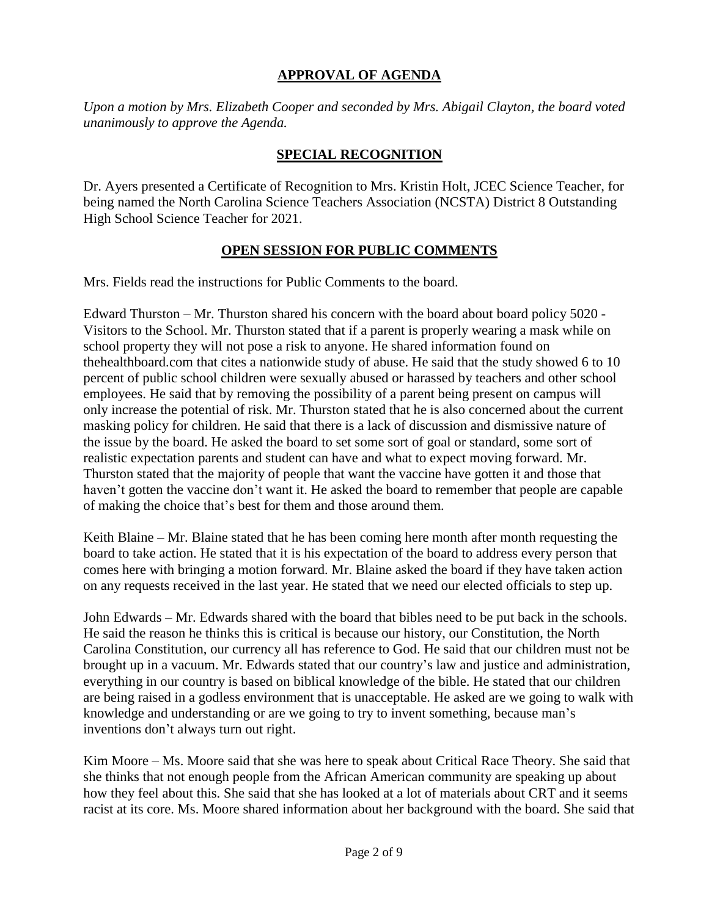### **APPROVAL OF AGENDA**

*Upon a motion by Mrs. Elizabeth Cooper and seconded by Mrs. Abigail Clayton, the board voted unanimously to approve the Agenda.*

#### **SPECIAL RECOGNITION**

Dr. Ayers presented a Certificate of Recognition to Mrs. Kristin Holt, JCEC Science Teacher, for being named the North Carolina Science Teachers Association (NCSTA) District 8 Outstanding High School Science Teacher for 2021.

#### **OPEN SESSION FOR PUBLIC COMMENTS**

Mrs. Fields read the instructions for Public Comments to the board.

Edward Thurston – Mr. Thurston shared his concern with the board about board policy 5020 - Visitors to the School. Mr. Thurston stated that if a parent is properly wearing a mask while on school property they will not pose a risk to anyone. He shared information found on thehealthboard.com that cites a nationwide study of abuse. He said that the study showed 6 to 10 percent of public school children were sexually abused or harassed by teachers and other school employees. He said that by removing the possibility of a parent being present on campus will only increase the potential of risk. Mr. Thurston stated that he is also concerned about the current masking policy for children. He said that there is a lack of discussion and dismissive nature of the issue by the board. He asked the board to set some sort of goal or standard, some sort of realistic expectation parents and student can have and what to expect moving forward. Mr. Thurston stated that the majority of people that want the vaccine have gotten it and those that haven't gotten the vaccine don't want it. He asked the board to remember that people are capable of making the choice that's best for them and those around them.

Keith Blaine – Mr. Blaine stated that he has been coming here month after month requesting the board to take action. He stated that it is his expectation of the board to address every person that comes here with bringing a motion forward. Mr. Blaine asked the board if they have taken action on any requests received in the last year. He stated that we need our elected officials to step up.

John Edwards – Mr. Edwards shared with the board that bibles need to be put back in the schools. He said the reason he thinks this is critical is because our history, our Constitution, the North Carolina Constitution, our currency all has reference to God. He said that our children must not be brought up in a vacuum. Mr. Edwards stated that our country's law and justice and administration, everything in our country is based on biblical knowledge of the bible. He stated that our children are being raised in a godless environment that is unacceptable. He asked are we going to walk with knowledge and understanding or are we going to try to invent something, because man's inventions don't always turn out right.

Kim Moore – Ms. Moore said that she was here to speak about Critical Race Theory. She said that she thinks that not enough people from the African American community are speaking up about how they feel about this. She said that she has looked at a lot of materials about CRT and it seems racist at its core. Ms. Moore shared information about her background with the board. She said that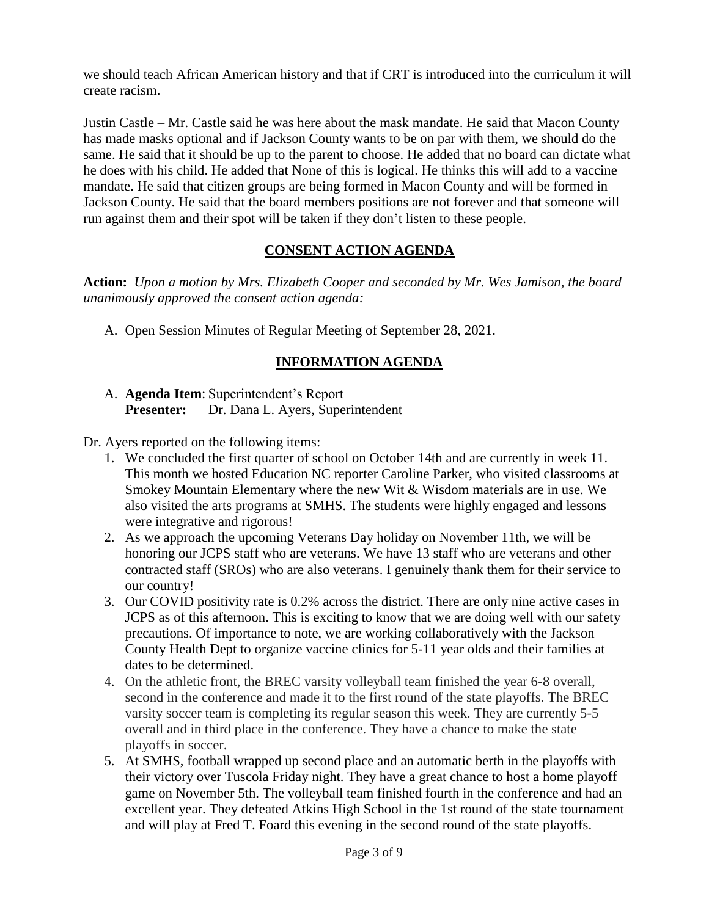we should teach African American history and that if CRT is introduced into the curriculum it will create racism.

Justin Castle – Mr. Castle said he was here about the mask mandate. He said that Macon County has made masks optional and if Jackson County wants to be on par with them, we should do the same. He said that it should be up to the parent to choose. He added that no board can dictate what he does with his child. He added that None of this is logical. He thinks this will add to a vaccine mandate. He said that citizen groups are being formed in Macon County and will be formed in Jackson County. He said that the board members positions are not forever and that someone will run against them and their spot will be taken if they don't listen to these people.

### **CONSENT ACTION AGENDA**

**Action:** *Upon a motion by Mrs. Elizabeth Cooper and seconded by Mr. Wes Jamison, the board unanimously approved the consent action agenda:*

A. Open Session Minutes of Regular Meeting of September 28, 2021.

# **INFORMATION AGENDA**

### A. **Agenda Item**: Superintendent's Report **Presenter:** Dr. Dana L. Ayers, Superintendent

Dr. Ayers reported on the following items:

- 1. We concluded the first quarter of school on October 14th and are currently in week 11. This month we hosted Education NC reporter Caroline Parker, who visited classrooms at Smokey Mountain Elementary where the new Wit & Wisdom materials are in use. We also visited the arts programs at SMHS. The students were highly engaged and lessons were integrative and rigorous!
- 2. As we approach the upcoming Veterans Day holiday on November 11th, we will be honoring our JCPS staff who are veterans. We have 13 staff who are veterans and other contracted staff (SROs) who are also veterans. I genuinely thank them for their service to our country!
- 3. Our COVID positivity rate is 0.2% across the district. There are only nine active cases in JCPS as of this afternoon. This is exciting to know that we are doing well with our safety precautions. Of importance to note, we are working collaboratively with the Jackson County Health Dept to organize vaccine clinics for 5-11 year olds and their families at dates to be determined.
- 4. On the athletic front, the BREC varsity volleyball team finished the year 6-8 overall, second in the conference and made it to the first round of the state playoffs. The BREC varsity soccer team is completing its regular season this week. They are currently 5-5 overall and in third place in the conference. They have a chance to make the state playoffs in soccer.
- 5. At SMHS, football wrapped up second place and an automatic berth in the playoffs with their victory over Tuscola Friday night. They have a great chance to host a home playoff game on November 5th. The volleyball team finished fourth in the conference and had an excellent year. They defeated Atkins High School in the 1st round of the state tournament and will play at Fred T. Foard this evening in the second round of the state playoffs.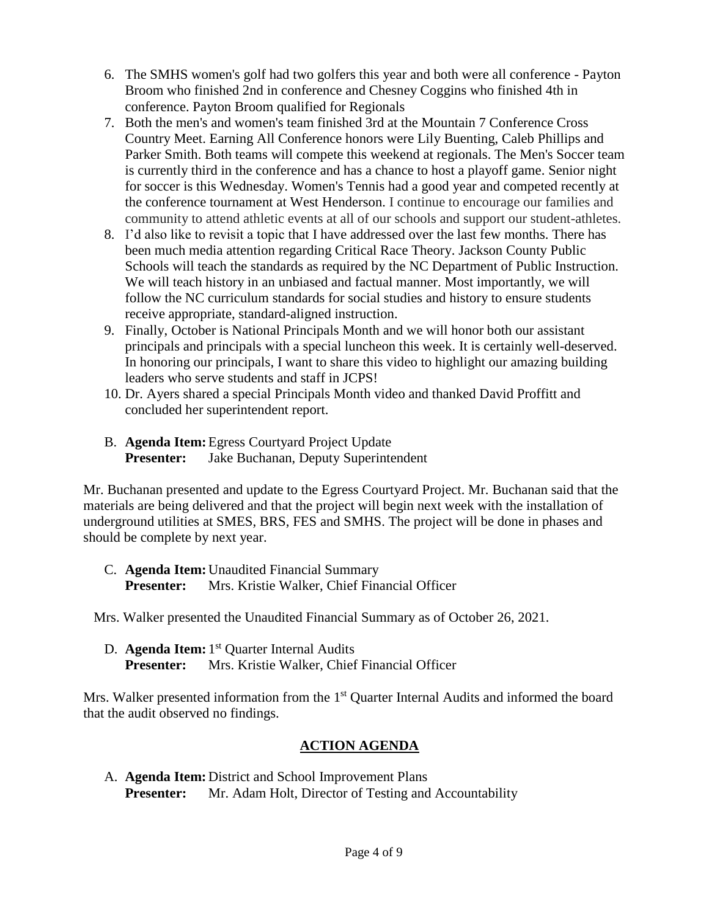- 6. The SMHS women's golf had two golfers this year and both were all conference Payton Broom who finished 2nd in conference and Chesney Coggins who finished 4th in conference. Payton Broom qualified for Regionals
- 7. Both the men's and women's team finished 3rd at the Mountain 7 Conference Cross Country Meet. Earning All Conference honors were Lily Buenting, Caleb Phillips and Parker Smith. Both teams will compete this weekend at regionals. The Men's Soccer team is currently third in the conference and has a chance to host a playoff game. Senior night for soccer is this Wednesday. Women's Tennis had a good year and competed recently at the conference tournament at West Henderson. I continue to encourage our families and community to attend athletic events at all of our schools and support our student-athletes.
- 8. I'd also like to revisit a topic that I have addressed over the last few months. There has been much media attention regarding Critical Race Theory. Jackson County Public Schools will teach the standards as required by the NC Department of Public Instruction. We will teach history in an unbiased and factual manner. Most importantly, we will follow the NC curriculum standards for social studies and history to ensure students receive appropriate, standard-aligned instruction.
- 9. Finally, October is National Principals Month and we will honor both our assistant principals and principals with a special luncheon this week. It is certainly well-deserved. In honoring our principals, I want to share this video to highlight our amazing building leaders who serve students and staff in JCPS!
- 10. Dr. Ayers shared a special Principals Month video and thanked David Proffitt and concluded her superintendent report.
- B. **Agenda Item:**Egress Courtyard Project Update **Presenter:** Jake Buchanan, Deputy Superintendent

Mr. Buchanan presented and update to the Egress Courtyard Project. Mr. Buchanan said that the materials are being delivered and that the project will begin next week with the installation of underground utilities at SMES, BRS, FES and SMHS. The project will be done in phases and should be complete by next year.

C. **Agenda Item:** Unaudited Financial Summary **Presenter:** Mrs. Kristie Walker, Chief Financial Officer

Mrs. Walker presented the Unaudited Financial Summary as of October 26, 2021.

D. **Agenda Item:** 1<sup>st</sup> Quarter Internal Audits **Presenter:** Mrs. Kristie Walker, Chief Financial Officer

Mrs. Walker presented information from the 1<sup>st</sup> Quarter Internal Audits and informed the board that the audit observed no findings.

# **ACTION AGENDA**

A. **Agenda Item:** District and School Improvement Plans **Presenter:** Mr. Adam Holt, Director of Testing and Accountability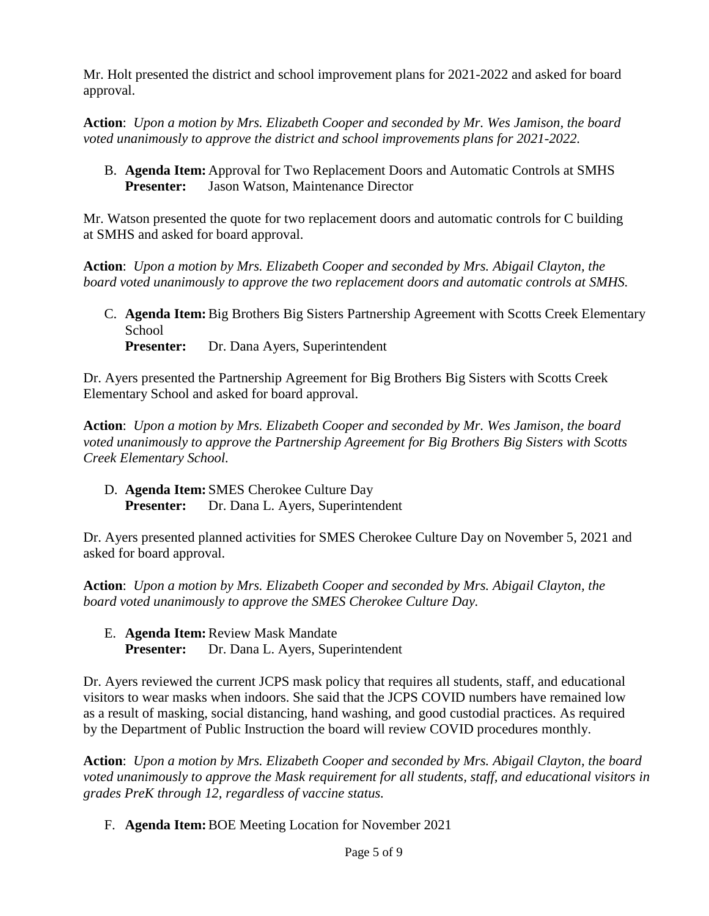Mr. Holt presented the district and school improvement plans for 2021-2022 and asked for board approval.

**Action**: *Upon a motion by Mrs. Elizabeth Cooper and seconded by Mr. Wes Jamison, the board voted unanimously to approve the district and school improvements plans for 2021-2022.*

B. **Agenda Item:** Approval for Two Replacement Doors and Automatic Controls at SMHS **Presenter:** Jason Watson, Maintenance Director

Mr. Watson presented the quote for two replacement doors and automatic controls for C building at SMHS and asked for board approval.

**Action**: *Upon a motion by Mrs. Elizabeth Cooper and seconded by Mrs. Abigail Clayton, the board voted unanimously to approve the two replacement doors and automatic controls at SMHS.*

C. **Agenda Item:**Big Brothers Big Sisters Partnership Agreement with Scotts Creek Elementary School

**Presenter:** Dr. Dana Ayers, Superintendent

Dr. Ayers presented the Partnership Agreement for Big Brothers Big Sisters with Scotts Creek Elementary School and asked for board approval.

**Action**: *Upon a motion by Mrs. Elizabeth Cooper and seconded by Mr. Wes Jamison, the board voted unanimously to approve the Partnership Agreement for Big Brothers Big Sisters with Scotts Creek Elementary School.*

D. **Agenda Item:** SMES Cherokee Culture Day **Presenter:** Dr. Dana L. Ayers, Superintendent

Dr. Ayers presented planned activities for SMES Cherokee Culture Day on November 5, 2021 and asked for board approval.

**Action**: *Upon a motion by Mrs. Elizabeth Cooper and seconded by Mrs. Abigail Clayton, the board voted unanimously to approve the SMES Cherokee Culture Day.* 

E. **Agenda Item:**Review Mask Mandate **Presenter:** Dr. Dana L. Ayers, Superintendent

Dr. Ayers reviewed the current JCPS mask policy that requires all students, staff, and educational visitors to wear masks when indoors. She said that the JCPS COVID numbers have remained low as a result of masking, social distancing, hand washing, and good custodial practices. As required by the Department of Public Instruction the board will review COVID procedures monthly.

**Action**: *Upon a motion by Mrs. Elizabeth Cooper and seconded by Mrs. Abigail Clayton, the board voted unanimously to approve the Mask requirement for all students, staff, and educational visitors in grades PreK through 12, regardless of vaccine status.*

F. **Agenda Item:**BOE Meeting Location for November 2021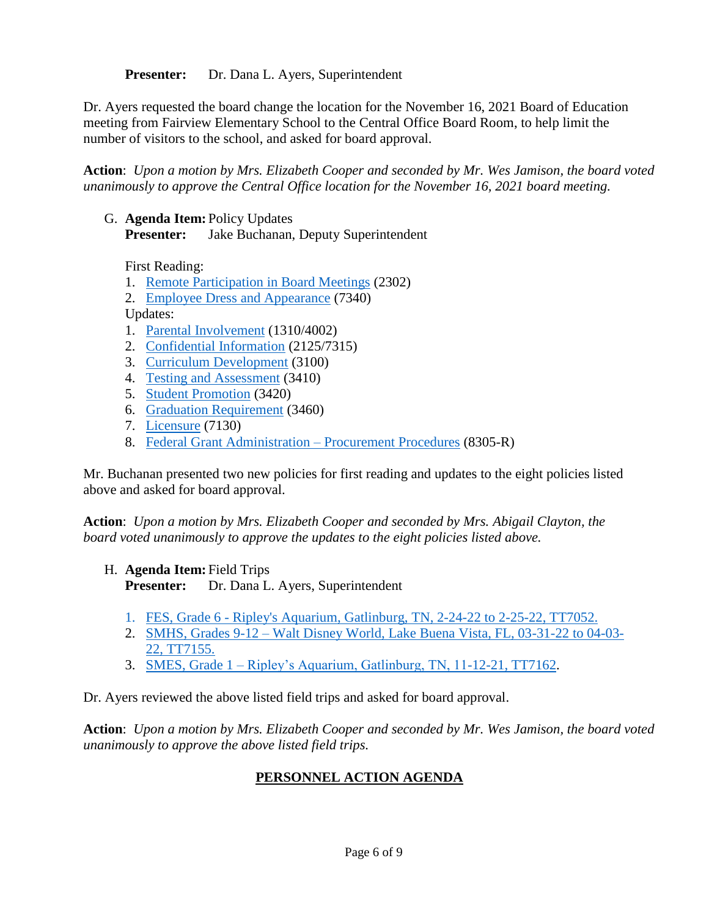**Presenter:** Dr. Dana L. Ayers, Superintendent

Dr. Ayers requested the board change the location for the November 16, 2021 Board of Education meeting from Fairview Elementary School to the Central Office Board Room, to help limit the number of visitors to the school, and asked for board approval.

**Action**: *Upon a motion by Mrs. Elizabeth Cooper and seconded by Mr. Wes Jamison, the board voted unanimously to approve the Central Office location for the November 16, 2021 board meeting.*

G. **Agenda Item:** Policy Updates **Presenter:** Jake Buchanan, Deputy Superintendent

First Reading:

- 1. Remote [Participation in Board Meetings](../../../../../../:b:/g/personal/cfields_jcpsmail_org/EfRxXsq9aC5PrwUi8N0zZ28BxK4LmL-HIZomg0Kp-OI5eQ?e=dqr3Yn) (2302)
- 2. [Employee Dress and Appearance](../../../../../../:b:/g/personal/cfields_jcpsmail_org/ERjrXrRrYX5BjIhCLxZqwZEBf6tlsW_ZjY27ARHhy4eXwg?e=vS9oPK) (7340)

Updates:

- 1. [Parental Involvement](../../../../../../:b:/g/personal/cfields_jcpsmail_org/EX63nd52qsVMrAFF_NKM7yABs5bYrGF71dv3jiVxWFD9Hg?e=2icS65) (1310/4002)
- 2. [Confidential Information](../../../../../../:b:/g/personal/cfields_jcpsmail_org/EU2p9r7dEnxEsOFKcok165IBC9BW8-MhA88nwn54U_2-xw?e=qnXCR8) (2125/7315)
- 3. [Curriculum Development](../../../../../../:b:/g/personal/cfields_jcpsmail_org/EafYSGpKuGFIphE1TitkYGcBLXdbWcx91McVGKr_g1pI-w?e=P0kfpe) (3100)
- 4. [Testing and Assessment](../../../../../../:b:/g/personal/cfields_jcpsmail_org/ER6grMSh6_xAhwWPKlwhmg0BDwNEaPdPTKhmMsu_kFGPEw?e=z0nIav) (3410)
- 5. [Student Promotion](../../../../../../:b:/g/personal/cfields_jcpsmail_org/EV_9MZfRqRZLsAkxcbMAL-MB9prXSofXwxL4mqAnOXqmCQ?e=asIMPN) (3420)
- 6. [Graduation Requirement](../../../../../../:b:/g/personal/cfields_jcpsmail_org/EaeZLjZr9RxFo9_YqpHN2CABEPLM98BPbfOd0WZUrUXyMQ?e=FaKsHa) (3460)
- 7. [Licensure](../../../../../../:b:/g/personal/cfields_jcpsmail_org/Eff9qC1SrUtHh7__6Xt2VQ8Bo8ewnNQY8pkMolhLmooezQ?e=ynxrfv) (7130)
- 8. [Federal Grant Administration –](../../../../../../:b:/g/personal/cfields_jcpsmail_org/EU5IwNMBwH1Gq0rYK8S_JfMBqBnNpG3luFxuF0tZOoISyg?e=lIHnb0) Procurement Procedures (8305-R)

Mr. Buchanan presented two new policies for first reading and updates to the eight policies listed above and asked for board approval.

**Action**: *Upon a motion by Mrs. Elizabeth Cooper and seconded by Mrs. Abigail Clayton, the board voted unanimously to approve the updates to the eight policies listed above.*

- H. **Agenda Item:** Field Trips **Presenter:** Dr. Dana L. Ayers, Superintendent
	- 1. FES, Grade 6 [Ripley's Aquarium, Gatlinburg, TN, 2-24-22 to 2-25-22, TT7052.](../../../../../../:b:/g/personal/cfields_jcpsmail_org/EX1HgeNvc6RBo6dZ62UtD84BSslRGkRu0QWmOo57u8I4Nw?e=1ciJXk)
	- 2. SMHS, Grades 9-12 [Walt Disney World, Lake Buena Vista, FL, 03-31-22 to 04-03-](../../../../../../:b:/g/personal/cfields_jcpsmail_org/EYm0BLMbUVNDm4haBHf0ka0B9DXU2Ehc0BOS_sXKs75E9w?e=gwEY7K) [22, TT7155.](../../../../../../:b:/g/personal/cfields_jcpsmail_org/EYm0BLMbUVNDm4haBHf0ka0B9DXU2Ehc0BOS_sXKs75E9w?e=gwEY7K)
	- 3. SMES, Grade 1 [Ripley's Aquarium, Gatlinburg, TN, 11-12-21, TT7162.](../../../../../../:b:/g/personal/cfields_jcpsmail_org/EW0yx1DuNLFMpp8OE0hdW9ABtlav4m5sXxrafRIY79vCfw?e=nWW1N4)

Dr. Ayers reviewed the above listed field trips and asked for board approval.

**Action**: *Upon a motion by Mrs. Elizabeth Cooper and seconded by Mr. Wes Jamison, the board voted unanimously to approve the above listed field trips.*

# **PERSONNEL ACTION AGENDA**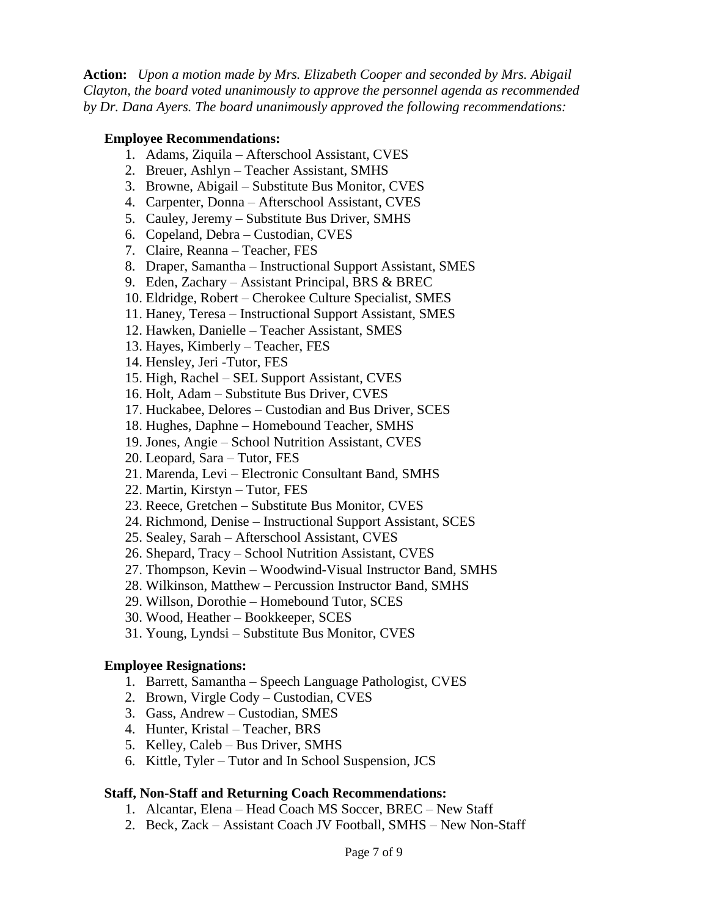**Action:** *Upon a motion made by Mrs. Elizabeth Cooper and seconded by Mrs. Abigail Clayton, the board voted unanimously to approve the personnel agenda as recommended by Dr. Dana Ayers. The board unanimously approved the following recommendations:*

#### **Employee Recommendations:**

- 1. Adams, Ziquila Afterschool Assistant, CVES
- 2. Breuer, Ashlyn Teacher Assistant, SMHS
- 3. Browne, Abigail Substitute Bus Monitor, CVES
- 4. Carpenter, Donna Afterschool Assistant, CVES
- 5. Cauley, Jeremy Substitute Bus Driver, SMHS
- 6. Copeland, Debra Custodian, CVES
- 7. Claire, Reanna Teacher, FES
- 8. Draper, Samantha Instructional Support Assistant, SMES
- 9. Eden, Zachary Assistant Principal, BRS & BREC
- 10. Eldridge, Robert Cherokee Culture Specialist, SMES
- 11. Haney, Teresa Instructional Support Assistant, SMES
- 12. Hawken, Danielle Teacher Assistant, SMES
- 13. Hayes, Kimberly Teacher, FES
- 14. Hensley, Jeri -Tutor, FES
- 15. High, Rachel SEL Support Assistant, CVES
- 16. Holt, Adam Substitute Bus Driver, CVES
- 17. Huckabee, Delores Custodian and Bus Driver, SCES
- 18. Hughes, Daphne Homebound Teacher, SMHS
- 19. Jones, Angie School Nutrition Assistant, CVES
- 20. Leopard, Sara Tutor, FES
- 21. Marenda, Levi Electronic Consultant Band, SMHS
- 22. Martin, Kirstyn Tutor, FES
- 23. Reece, Gretchen Substitute Bus Monitor, CVES
- 24. Richmond, Denise Instructional Support Assistant, SCES
- 25. Sealey, Sarah Afterschool Assistant, CVES
- 26. Shepard, Tracy School Nutrition Assistant, CVES
- 27. Thompson, Kevin Woodwind-Visual Instructor Band, SMHS
- 28. Wilkinson, Matthew Percussion Instructor Band, SMHS
- 29. Willson, Dorothie Homebound Tutor, SCES
- 30. Wood, Heather Bookkeeper, SCES
- 31. Young, Lyndsi Substitute Bus Monitor, CVES

#### **Employee Resignations:**

- 1. Barrett, Samantha Speech Language Pathologist, CVES
- 2. Brown, Virgle Cody Custodian, CVES
- 3. Gass, Andrew Custodian, SMES
- 4. Hunter, Kristal Teacher, BRS
- 5. Kelley, Caleb Bus Driver, SMHS
- 6. Kittle, Tyler Tutor and In School Suspension, JCS

#### **Staff, Non-Staff and Returning Coach Recommendations:**

- 1. Alcantar, Elena Head Coach MS Soccer, BREC New Staff
- 2. Beck, Zack Assistant Coach JV Football, SMHS New Non-Staff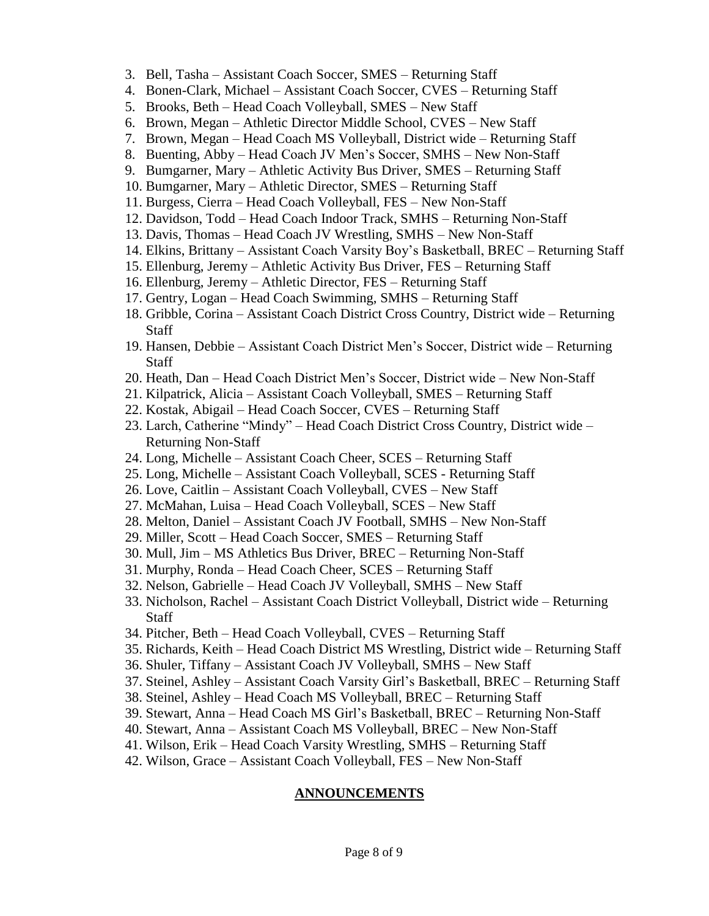- 3. Bell, Tasha Assistant Coach Soccer, SMES Returning Staff
- 4. Bonen-Clark, Michael Assistant Coach Soccer, CVES Returning Staff
- 5. Brooks, Beth Head Coach Volleyball, SMES New Staff
- 6. Brown, Megan Athletic Director Middle School, CVES New Staff
- 7. Brown, Megan Head Coach MS Volleyball, District wide Returning Staff
- 8. Buenting, Abby Head Coach JV Men's Soccer, SMHS New Non-Staff
- 9. Bumgarner, Mary Athletic Activity Bus Driver, SMES Returning Staff
- 10. Bumgarner, Mary Athletic Director, SMES Returning Staff
- 11. Burgess, Cierra Head Coach Volleyball, FES New Non-Staff
- 12. Davidson, Todd Head Coach Indoor Track, SMHS Returning Non-Staff
- 13. Davis, Thomas Head Coach JV Wrestling, SMHS New Non-Staff
- 14. Elkins, Brittany Assistant Coach Varsity Boy's Basketball, BREC Returning Staff
- 15. Ellenburg, Jeremy Athletic Activity Bus Driver, FES Returning Staff
- 16. Ellenburg, Jeremy Athletic Director, FES Returning Staff
- 17. Gentry, Logan Head Coach Swimming, SMHS Returning Staff
- 18. Gribble, Corina Assistant Coach District Cross Country, District wide Returning Staff
- 19. Hansen, Debbie Assistant Coach District Men's Soccer, District wide Returning Staff
- 20. Heath, Dan Head Coach District Men's Soccer, District wide New Non-Staff
- 21. Kilpatrick, Alicia Assistant Coach Volleyball, SMES Returning Staff
- 22. Kostak, Abigail Head Coach Soccer, CVES Returning Staff
- 23. Larch, Catherine "Mindy" Head Coach District Cross Country, District wide Returning Non-Staff
- 24. Long, Michelle Assistant Coach Cheer, SCES Returning Staff
- 25. Long, Michelle Assistant Coach Volleyball, SCES Returning Staff
- 26. Love, Caitlin Assistant Coach Volleyball, CVES New Staff
- 27. McMahan, Luisa Head Coach Volleyball, SCES New Staff
- 28. Melton, Daniel Assistant Coach JV Football, SMHS New Non-Staff
- 29. Miller, Scott Head Coach Soccer, SMES Returning Staff
- 30. Mull, Jim MS Athletics Bus Driver, BREC Returning Non-Staff
- 31. Murphy, Ronda Head Coach Cheer, SCES Returning Staff
- 32. Nelson, Gabrielle Head Coach JV Volleyball, SMHS New Staff
- 33. Nicholson, Rachel Assistant Coach District Volleyball, District wide Returning **Staff**
- 34. Pitcher, Beth Head Coach Volleyball, CVES Returning Staff
- 35. Richards, Keith Head Coach District MS Wrestling, District wide Returning Staff
- 36. Shuler, Tiffany Assistant Coach JV Volleyball, SMHS New Staff
- 37. Steinel, Ashley Assistant Coach Varsity Girl's Basketball, BREC Returning Staff
- 38. Steinel, Ashley Head Coach MS Volleyball, BREC Returning Staff
- 39. Stewart, Anna Head Coach MS Girl's Basketball, BREC Returning Non-Staff
- 40. Stewart, Anna Assistant Coach MS Volleyball, BREC New Non-Staff
- 41. Wilson, Erik Head Coach Varsity Wrestling, SMHS Returning Staff
- 42. Wilson, Grace Assistant Coach Volleyball, FES New Non-Staff

### **ANNOUNCEMENTS**